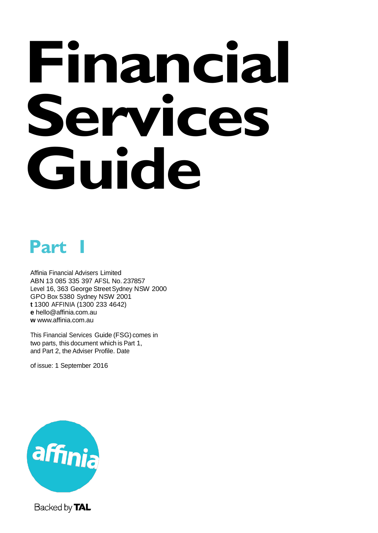# **Financial Services Guide**

## **Part 1**

Affinia Financial Advisers Limited ABN 13 085 335 397 AFSL No. 237857 Level 16, 363 George Street Sydney NSW 2000 GPO Box 5380 Sydney NSW 2001 **t** 1300 AFFINIA (1300 233 4642) **e** [hello@affinia.com.au](mailto:hello@affinia.com.au) **w** [www.affinia.com.au](http://www.affinia.com.au/)

This Financial Services Guide (FSG) comes in two parts, this document which is Part 1, and Part 2, the Adviser Profile. Date

of issue: 1 September 2016



Backed by TAL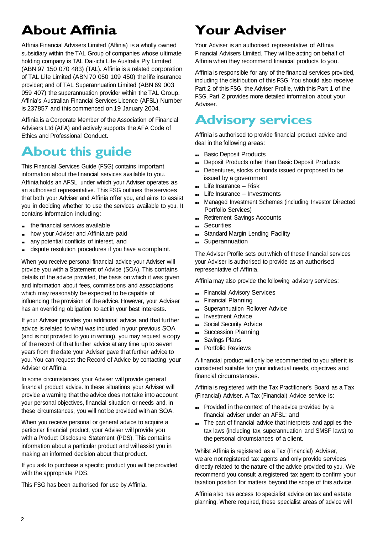## **About Affinia**

Affinia Financial Advisers Limited (Affinia) is a wholly owned subsidiary within the TAL Group of companies whose ultimate holding company is TAL Dai-ichi Life Australia Pty Limited (ABN 97 150 070 483) (TAL). Affinia is a related corporation of TAL Life Limited (ABN 70 050 109 450) the life insurance provider; and of TAL Superannuation Limited (ABN 69 003 059 407) the superannuation provider within the TAL Group. Affinia's Australian Financial Services Licence (AFSL) Number is 237857 and this commenced on 19 January 2004.

Affinia is a Corporate Member of the Association of Financial Advisers Ltd (AFA) and actively supports the AFA Code of Ethics and Professional Conduct.

## **About this guide**

This Financial Services Guide (FSG) contains important information about the financial services available to you. Affinia holds an AFSL, under which your Adviser operates as an authorised representative. This FSG outlines the services that both your Adviser and Affinia offer you, and aims to assist you in deciding whether to use the services available to you. It contains information including:

- ■■ the financial services available
- ■■ how your Adviser and Affinia are paid
- ■■ any potential conflicts of interest, and
- dispute resolution procedures if you have a complaint.

When you receive personal financial advice your Adviser will provide you with a Statement of Advice (SOA). This contains details of the advice provided, the basis on which it was given and information about fees, commissions and associations which may reasonably be expected to be capable of influencing the provision of the advice. However, your Adviser has an overriding obligation to act in your best interests.

If your Adviser provides you additional advice, and that further advice is related to what was included in your previous SOA (and is not provided to you in writing), you may request a copy of the record of that further advice at any time up to seven years from the date your Adviser gave that further advice to you. You can request the Record of Advice by contacting your Adviser or Affinia.

In some circumstances your Adviser will provide general financial product advice. In these situations your Adviser will provide a warning that the advice does not take into account your personal objectives, financial situation or needs and, in these circumstances, you will not be provided with an SOA.

When you receive personal or general advice to acquire a particular financial product, your Adviser will provide you with a Product Disclosure Statement (PDS). This contains information about a particular product and will assist you in making an informed decision about that product.

If you ask to purchase a specific product you will be provided with the appropriate PDS.

This FSG has been authorised for use by Affinia.

## **Your Adviser**

Your Adviser is an authorised representative of Affinia Financial Advisers Limited. They will be acting on behalf of Affinia when they recommend financial products to you.

Affinia is responsible for any of the financial services provided, including the distribution of this FSG. You should also receive Part 2 of this FSG, the Adviser Profile, with this Part 1 of the FSG. Part 2 provides more detailed information about your Adviser.

## **Advisory services**

Affinia is authorised to provide financial product advice and deal in the following areas:

- ■■ Basic Deposit Products
- Deposit Products other than Basic Deposit Products
- Debentures, stocks or bonds issued or proposed to be issued by a government
- ■■ Life Insurance Risk
- ■■ Life Insurance Investments
- Managed Investment Schemes (including Investor Directed Portfolio Services)
- ■■ Retirement Savings Accounts
- ■■ Securities
- Standard Margin Lending Facility
- ■■ Superannuation

The Adviser Profile sets out which of these financial services your Adviser is authorised to provide as an authorised representative of Affinia.

Affinia may also provide the following advisory services:

- ■■ Financial Advisory Services
- ■■ Financial Planning
- ■■ Superannuation Rollover Advice
- ■■ Investment Advice
- Social Security Advice
- ■■ Succession Planning
- ■■ Savings Plans
- ■■ Portfolio Reviews

A financial product will only be recommended to you after it is considered suitable for your individual needs, objectives and financial circumstances.

Affinia is registered with the Tax Practitioner's Board as a Tax (Financial) Adviser. A Tax (Financial) Advice service is:

- ■■ Provided in the context of the advice provided by a financial adviser under an AFSL; and
- ■■ The part of financial advice that interprets and applies the tax laws (including tax, superannuation and SMSF laws) to the personal circumstances of a client.

Whilst Affinia is registered as a Tax (Financial) Adviser, we are not registered tax agents and only provide services directly related to the nature of the advice provided to you. We recommend you consult a registered tax agent to confirm your taxation position for matters beyond the scope of this advice.

Affinia also has access to specialist advice on tax and estate planning. Where required, these specialist areas of advice will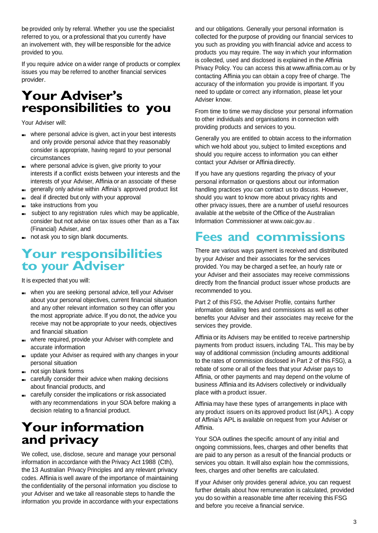be provided only by referral. Whether you use the specialist referred to you, or a professional that you currently have an involvement with, they will be responsible for the advice provided to you.

If you require advice on a wider range of products or complex issues you may be referred to another financial services provider.

## **Your Adviser's responsibilities to you**

Your Adviser will:

- ■■ where personal advice is given, act in your best interests and only provide personal advice that they reasonably consider is appropriate, having regard to your personal circumstances
- where personal advice is given, give priority to your interests if a conflict exists between your interests and the interests of your Adviser, Affinia or an associate of these
- ■■ generally only advise within Affinia's approved product list
- ■■ deal if directed but only with your approval
- ■■ take instructions from you
- ■■ subject to any registration rules which may be applicable, consider but not advise on tax issues other than as a Tax (Financial) Adviser, and
- ■■ not ask you to sign blank documents.

## **Your responsibilities to your Adviser**

It is expected that you will:

- ■■ when you are seeking personal advice, tell your Adviser about your personal objectives, current financial situation and any other relevant information so they can offer you the most appropriate advice. If you do not, the advice you receive may not be appropriate to your needs, objectives and financial situation
- ■■ where required, provide your Adviser with complete and accurate information
- ■■ update your Adviser as required with any changes in your personal situation
- ■■ not sign blank forms
- ■■ carefully consider their advice when making decisions about financial products, and
- ■■ carefully consider the implications or risk associated with any recommendations in your SOA before making a decision relating to a financial product.

## **Your information and privacy**

We collect, use, disclose, secure and manage your personal information in accordance with the Privacy Act 1988 (Cth), the 13 Australian Privacy Principles and any relevant privacy codes. Affinia is well aware of the importance of maintaining the confidentiality of the personal information you disclose to your Adviser and we take all reasonable steps to handle the information you provide in accordance with your expectations

and our obligations. Generally your personal information is collected for the purpose of providing our financial services to you such as providing you with financial advice and access to products you may require. The way in which your information is collected, used and disclosed is explained in the Affinia Privacy Policy. You can access this at [www.affinia.com.au](http://www.affinia.com.au/) or by contacting Affinia you can obtain a copy free of charge. The accuracy of the information you provide is important. If you need to update or correct any information, please let your Adviser know.

From time to time we may disclose your personal information to other individuals and organisations in connection with providing products and services to you.

Generally you are entitled to obtain access to the information which we hold about you, subject to limited exceptions and should you require access to information you can either contact your Adviser or Affinia directly.

If you have any questions regarding the privacy of your personal information or questions about our information handling practices you can contact us to discuss. However, should you want to know more about privacy rights and other privacy issues, there are a number of useful resources available at the website of the Office of the Australian Information Commissioner at [www.oaic.gov.au](http://www.oaic.gov.au/) .

## **Fees and commissions**

There are various ways payment is received and distributed by your Adviser and their associates for the services provided. You may be charged a set fee, an hourly rate or your Adviser and their associates may receive commissions directly from the financial product issuer whose products are recommended to you.

Part 2 of this FSG, the Adviser Profile, contains further information detailing fees and commissions as well as other benefits your Adviser and their associates may receive for the services they provide.

Affinia or its Advisers may be entitled to receive partnership payments from product issuers, including TAL. This may be by way of additional commission (including amounts additional to the rates of commission disclosed in Part 2 of this FSG), a rebate of some or all of the fees that your Adviser pays to Affinia, or other payments and may depend on the volume of business Affinia and its Advisers collectively or individually place with a product issuer.

Affinia may have these types of arrangements in place with any product issuers on its approved product list (APL). A copy of Affinia's APL is available on request from your Adviser or Affinia.

Your SOA outlines the specific amount of any initial and ongoing commissions, fees, charges and other benefits that are paid to any person as a result of the financial products or services you obtain. It will also explain how the commissions, fees, charges and other benefits are calculated.

If your Adviser only provides general advice, you can request further details about how remuneration is calculated, provided you do so within a reasonable time after receiving this FSG and before you receive a financial service.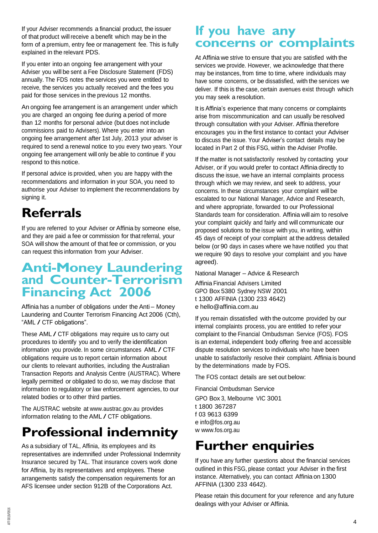If your Adviser recommends a financial product, the issuer of that product will receive a benefit which may be in the form of a premium, entry fee or management fee. This is fully explained in the relevant PDS.

If you enter into an ongoing fee arrangement with your Adviser you will be sent a Fee Disclosure Statement (FDS) annually. The FDS notes the services you were entitled to receive, the services you actually received and the fees you paid for those services in the previous 12 months.

An ongoing fee arrangement is an arrangement under which you are charged an ongoing fee during a period of more than 12 months for personal advice (but does not include commissions paid to Advisers). Where you enter into an ongoing fee arrangement after 1st July, 2013 your adviser is required to send a renewal notice to you every two years. Your ongoing fee arrangement will only be able to continue if you respond to this notice.

If personal advice is provided, when you are happy with the recommendations and information in your SOA, you need to authorise your Adviser to implement the recommendations by signing it.

## **Referrals**

If you are referred to your Adviser or Affinia by someone else, and they are paid a fee or commission for that referral, your SOA will show the amount of that fee or commission, or you can request this information from your Adviser.

## **Anti-Money Laundering and Counter-Terrorism Financing Act 2006**

Affinia has a number of obligations under the Anti – Money Laundering and Counter Terrorism Financing Act 2006 (Cth), "AML / CTF obligations".

These AML / CTF obligations may require us to carry out procedures to identify you and to verify the identification information you provide. In some circumstances AML / CTF obligations require us to report certain information about our clients to relevant authorities, including the Australian Transaction Reports and Analysis Centre (AUSTRAC). Where legally permitted or obligated to do so, we may disclose that information to regulatory or law enforcement agencies, to our related bodies or to other third parties.

The AUSTRAC website at [www.austrac.gov.au](http://www.austrac.gov.au/) provides information relating to the AML / CTF obligations.

## **Professional indemnity**

As a subsidiary of TAL, Affinia, its employees and its representatives are indemnified under Professional Indemnity Insurance secured by TAL. That insurance covers work done for Affinia, by its representatives and employees. These arrangements satisfy the compensation requirements for an AFS licensee under section 912B of the Corporations Act.

### **If you have any concerns or complaints**

At Affinia we strive to ensure that you are satisfied with the services we provide. However, we acknowledge that there may be instances, from time to time, where individuals may have some concerns, or be dissatisfied, with the services we deliver. If this is the case, certain avenues exist through which you may seek a resolution.

It is Affinia's experience that many concerns or complaints arise from miscommunication and can usually be resolved through consultation with your Adviser. Affinia therefore encourages you in the first instance to contact your Adviser to discuss the issue. Your Adviser's contact details may be located in Part 2 of this FSG, within the Adviser Profile.

If the matter is not satisfactorily resolved by contacting your Adviser, or if you would prefer to contact Affinia directly to discuss the issue, we have an internal complaints process through which we may review, and seek to address, your concerns. In these circumstances your complaint will be escalated to our National Manager, Advice and Research, and where appropriate, forwarded to our Professional Standards team for consideration. Affinia will aim to resolve your complaint quickly and fairly and will communicate our proposed solutions to the issue with you, in writing, within 45 days of receipt of your complaint at the address detailed below (or 90 days in cases where we have notified you that we require 90 days to resolve your complaint and you have agreed).

National Manager – Advice & Research

Affinia Financial Advisers Limited GPO Box 5380 Sydney NSW 2001 t 1300 AFFINIA (1300 233 4642) e [hello@affinia.com.au](mailto:hello@affinia.com.au)

If you remain dissatisfied with the outcome provided by our internal complaints process, you are entitled to refer your complaint to the Financial Ombudsman Service (FOS). FOS is an external, independent body offering free and accessible dispute resolution services to individuals who have been unable to satisfactorily resolve their complaint. Affinia is bound by the determinations made by FOS.

The FOS contact details are set out below:

Financial Ombudsman Service

GPO Box 3, Melbourne VIC 3001 t 1800 367287 f 03 9613 6399 e [info@fos.org.au](mailto:info@fos.org.au)  w [www.fos.org.au](http://www.fos.org.au/)

## **Further enquiries**

If you have any further questions about the financial services outlined in this FSG, please contact your Adviser in the first instance. Alternatively, you can contact Affinia on 1300 AFFINIA (1300 233 4642).

Please retain this document for your reference and any future dealings with your Adviser or Affinia.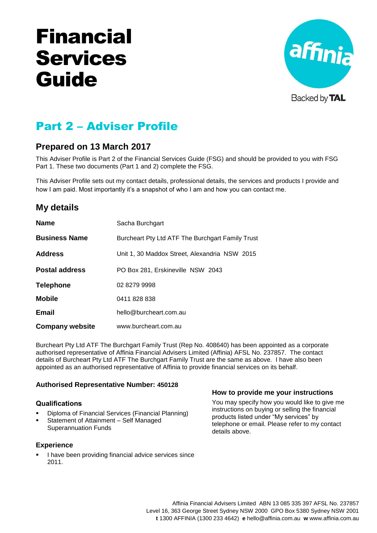# Financial Services Guide



Backed by **TAL** 

## Part 2 – Adviser Profile

#### **Prepared on 13 March 2017**

This Adviser Profile is Part 2 of the Financial Services Guide (FSG) and should be provided to you with FSG Part 1. These two documents (Part 1 and 2) complete the FSG.

This Adviser Profile sets out my contact details, professional details, the services and products I provide and how I am paid. Most importantly it's a snapshot of who I am and how you can contact me.

#### **My details**

| <b>Name</b>            | Sacha Burchgart                                  |
|------------------------|--------------------------------------------------|
| <b>Business Name</b>   | Burcheart Pty Ltd ATF The Burchgart Family Trust |
| <b>Address</b>         | Unit 1, 30 Maddox Street, Alexandria NSW 2015    |
| <b>Postal address</b>  | PO Box 281, Erskineville NSW 2043                |
| <b>Telephone</b>       | 02 8279 9998                                     |
| <b>Mobile</b>          | 0411 828 838                                     |
| <b>Email</b>           | hello@burcheart.com.au                           |
| <b>Company website</b> | www.burcheart.com.au                             |

Burcheart Pty Ltd ATF The Burchgart Family Trust (Rep No. 408640) has been appointed as a corporate authorised representative of Affinia Financial Advisers Limited (Affinia) AFSL No. 237857. The contact details of Burcheart Pty Ltd ATF The Burchgart Family Trust are the same as above. I have also been appointed as an authorised representative of Affinia to provide financial services on its behalf.

#### **Authorised Representative Number: 450128**

#### **Qualifications**

- Diploma of Financial Services (Financial Planning)
- Statement of Attainment Self Managed Superannuation Funds

#### **Experience**

 I have been providing financial advice services since 2011.

#### **How to provide me your instructions**

You may specify how you would like to give me instructions on buying or selling the financial products listed under "My services" by telephone or email. Please refer to my contact details above.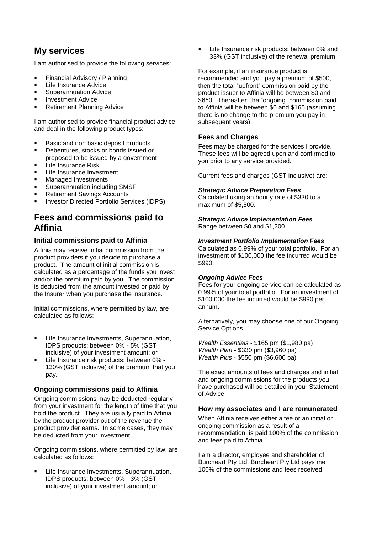#### **My services**

I am authorised to provide the following services:

- Financial Advisory / Planning
- Life Insurance Advice
- Superannuation Advice
- Investment Advice
- Retirement Planning Advice

I am authorised to provide financial product advice and deal in the following product types:

- Basic and non basic deposit products
- **Debentures, stocks or bonds issued or** proposed to be issued by a government
- Life Insurance Risk
- Life Insurance Investment
- Managed Investments
- Superannuation including SMSF
- Retirement Savings Accounts
- Investor Directed Portfolio Services (IDPS)

#### **Fees and commissions paid to Affinia**

#### **Initial commissions paid to Affinia**

Affinia may receive initial commission from the product providers if you decide to purchase a product. The amount of initial commission is calculated as a percentage of the funds you invest and/or the premium paid by you. The commission is deducted from the amount invested or paid by the Insurer when you purchase the insurance.

Initial commissions, where permitted by law, are calculated as follows:

- Life Insurance Investments, Superannuation, IDPS products: between 0% - 5% (GST inclusive) of your investment amount; or
- Life Insurance risk products: between 0% 130% (GST inclusive) of the premium that you pay.

#### **Ongoing commissions paid to Affinia**

Ongoing commissions may be deducted regularly from your investment for the length of time that you hold the product. They are usually paid to Affinia by the product provider out of the revenue the product provider earns. In some cases, they may be deducted from your investment.

Ongoing commissions, where permitted by law, are calculated as follows:

 Life Insurance Investments, Superannuation, IDPS products: between 0% - 3% (GST inclusive) of your investment amount; or

**EXECUTE:** Life Insurance risk products: between 0% and 33% (GST inclusive) of the renewal premium.

For example, if an insurance product is recommended and you pay a premium of \$500, then the total "upfront" commission paid by the product issuer to Affinia will be between \$0 and \$650. Thereafter, the "ongoing" commission paid to Affinia will be between \$0 and \$165 (assuming there is no change to the premium you pay in subsequent years).

#### **Fees and Charges**

Fees may be charged for the services I provide. These fees will be agreed upon and confirmed to you prior to any service provided.

Current fees and charges (GST inclusive) are:

#### *Strategic Advice Preparation Fees*

Calculated using an hourly rate of \$330 to a maximum of \$5,500.

*Strategic Advice Implementation Fees* Range between \$0 and \$1,200

#### *Investment Portfolio Implementation Fees*

Calculated as 0.99% of your total portfolio. For an investment of \$100,000 the fee incurred would be \$990.

#### *Ongoing Advice Fees*

Fees for your ongoing service can be calculated as 0.99% of your total portfolio. For an investment of \$100,000 the fee incurred would be \$990 per annum.

Alternatively, you may choose one of our Ongoing Service Options

*Wealth Essentials* - \$165 pm (\$1,980 pa) *Wealth Plan* - \$330 pm (\$3,960 pa) *Wealth Plus* - \$550 pm (\$6,600 pa)

The exact amounts of fees and charges and initial and ongoing commissions for the products you have purchased will be detailed in your Statement of Advice.

#### **How my associates and I are remunerated**

When Affinia receives either a fee or an initial or ongoing commission as a result of a recommendation, is paid 100% of the commission and fees paid to Affinia.

I am a director, employee and shareholder of Burcheart Pty Ltd. Burcheart Pty Ltd pays me 100% of the commissions and fees received.